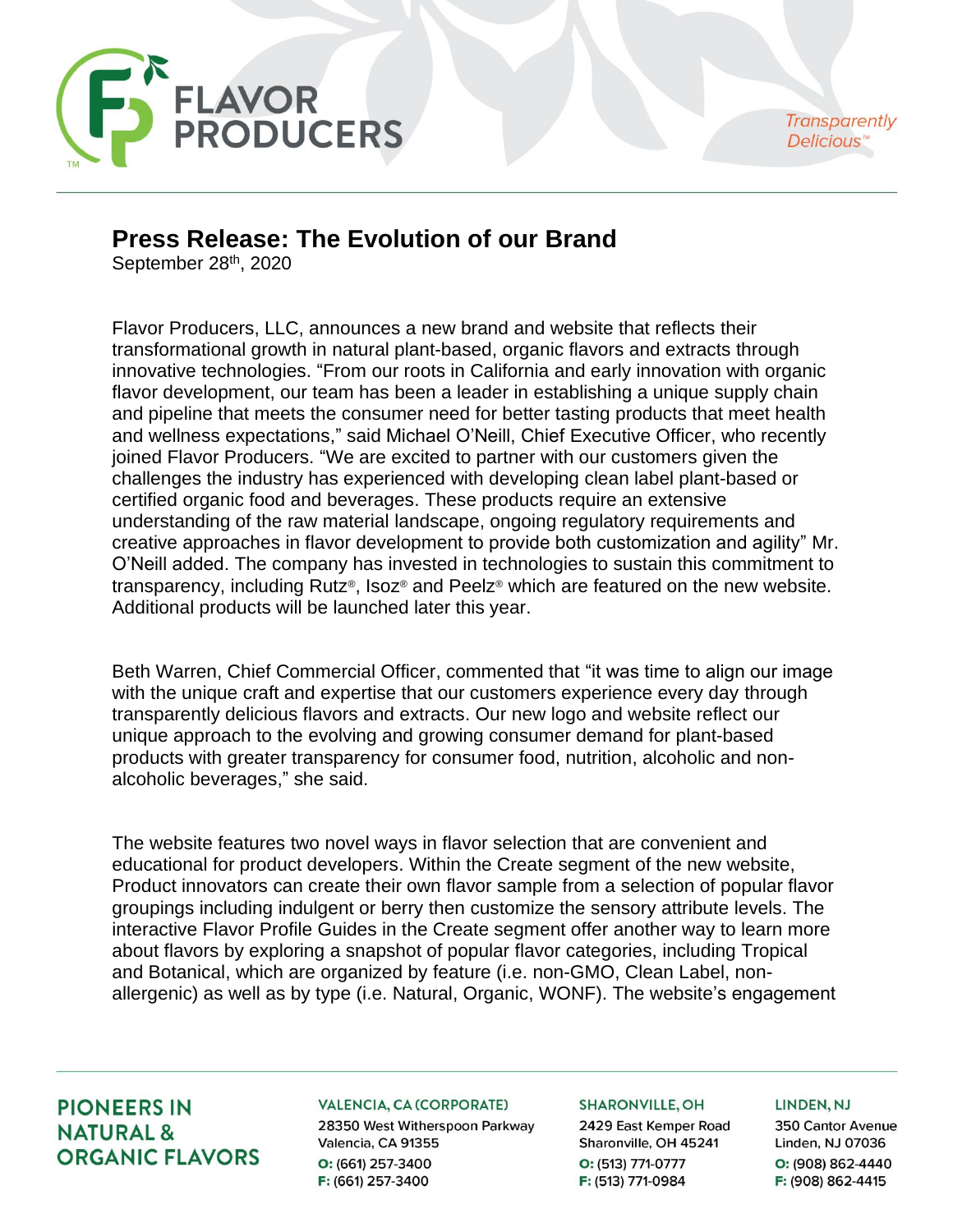

**Transparently** Delicious"

# **Press Release: The Evolution of our Brand**

September 28<sup>th</sup>, 2020

Flavor Producers, LLC, announces a new brand and website that reflects their transformational growth in natural plant-based, organic flavors and extracts through innovative technologies. "From our roots in California and early innovation with organic flavor development, our team has been a leader in establishing a unique supply chain and pipeline that meets the consumer need for better tasting products that meet health and wellness expectations," said Michael O'Neill, Chief Executive Officer, who recently joined Flavor Producers. "We are excited to partner with our customers given the challenges the industry has experienced with developing clean label plant-based or certified organic food and beverages. These products require an extensive understanding of the raw material landscape, ongoing regulatory requirements and creative approaches in flavor development to provide both customization and agility" Mr. O'Neill added. The company has invested in technologies to sustain this commitment to transparency, including Rutz®, Isoz® and Peelz® which are featured on the new website. Additional products will be launched later this year.

Beth Warren, Chief Commercial Officer, commented that "it was time to align our image with the unique craft and expertise that our customers experience every day through transparently delicious flavors and extracts. Our new logo and website reflect our unique approach to the evolving and growing consumer demand for plant-based products with greater transparency for consumer food, nutrition, alcoholic and nonalcoholic beverages," she said.

The website features two novel ways in flavor selection that are convenient and educational for product developers. Within the Create segment of the new website, Product innovators can create their own flavor sample from a selection of popular flavor groupings including indulgent or berry then customize the sensory attribute levels. The interactive Flavor Profile Guides in the Create segment offer another way to learn more about flavors by exploring a snapshot of popular flavor categories, including Tropical and Botanical, which are organized by feature (i.e. non-GMO, Clean Label, nonallergenic) as well as by type (i.e. Natural, Organic, WONF). The website's engagement

## **PIONEERS IN NATURAL & ORGANIC FLAVORS**

## **VALENCIA, CA (CORPORATE)**

28350 West Witherspoon Parkway Valencia, CA 91355 O: (661) 257-3400 F: (661) 257-3400

## **SHARONVILLE, OH**

2429 East Kemper Road Sharonville, OH 45241 O: (513) 771-0777 F: (513) 771-0984

#### LINDEN, NJ

350 Cantor Avenue Linden, NJ 07036 O: (908) 862-4440 F: (908) 862-4415